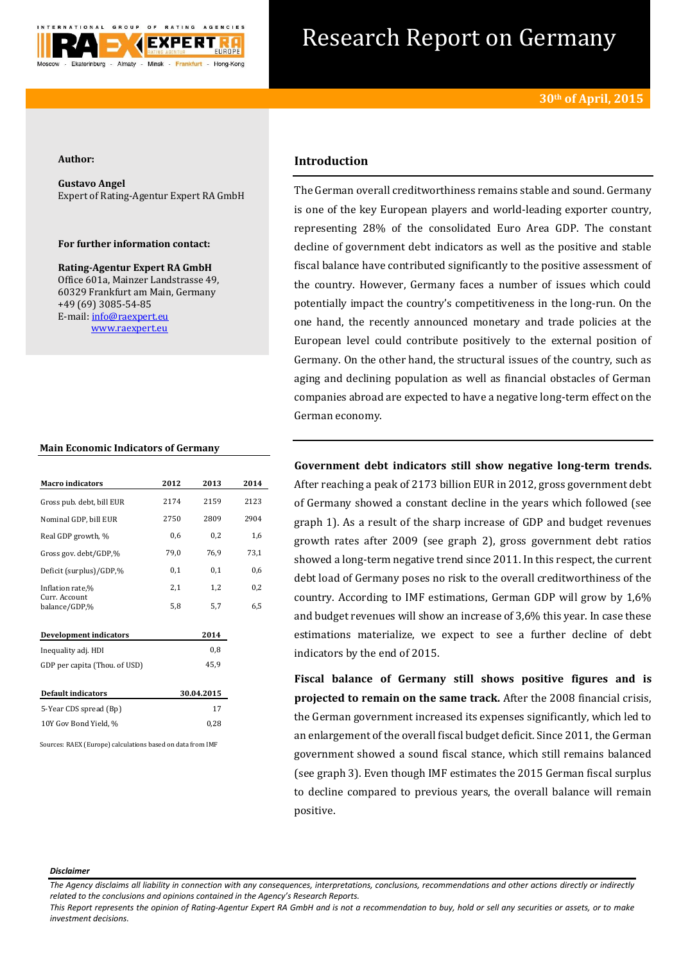

# Research Report on Germany

#### **Author:**

**Gustavo Angel** Expert of Rating-Agentur Expert RA GmbH

### **For further information contact:**

**Rating-Agentur Expert RA GmbH** Office 601a, Mainzer Landstrasse 49, 60329 Frankfurt am Main, Germany +49 (69) 3085-54-85 E-mail[: info@raexpert.eu](mailto:info@raexpert.eu) [www.raexpert.eu](http://raexpert.eu/)

#### **Main Economic Indicators of Germany**

| <b>Macro</b> indicators        | 2012 | 2013       | 2014     |
|--------------------------------|------|------------|----------|
| Gross pub. debt, bill EUR      | 2174 | 2159       | 2123     |
| Nominal GDP, bill EUR          | 2750 | 2809       | 2904     |
| Real GDP growth, %             | 0,6  | 0,2        | 1,6      |
| Gross gov. debt/GDP,%          | 79,0 | 76,9       | 73,1     |
| Deficit (surplus)/GDP,%        | 0,1  | 0,1        | 0,6      |
| Inflation rate,%               | 2,1  | 1,2        | $_{0,2}$ |
| Curr. Account<br>balance/GDP,% | 5,8  | 5,7        | 6,5      |
| Development indicators         |      | 2014       |          |
| Inequality adj. HDI            |      | 0,8        |          |
| GDP per capita (Thou. of USD)  |      | 45,9       |          |
| <b>Default indicators</b>      |      | 30.04.2015 |          |
| 5-Year CDS spread (Bp)         |      | 17         |          |
| 10Y Gov Bond Yield, %          |      | 0,28       |          |

Sources: RAEX (Europe) calculations based on data from IMF

# **Introduction**

The German overall creditworthiness remains stable and sound. Germany is one of the key European players and world-leading exporter country, representing 28% of the consolidated Euro Area GDP. The constant decline of government debt indicators as well as the positive and stable fiscal balance have contributed significantly to the positive assessment of the country. However, Germany faces a number of issues which could potentially impact the country's competitiveness in the long-run. On the one hand, the recently announced monetary and trade policies at the European level could contribute positively to the external position of Germany. On the other hand, the structural issues of the country, such as aging and declining population as well as financial obstacles of German companies abroad are expected to have a negative long-term effect on the German economy.

**Government debt indicators still show negative long-term trends.**  After reaching a peak of 2173 billion EUR in 2012, gross government debt of Germany showed a constant decline in the years which followed (see graph 1). As a result of the sharp increase of GDP and budget revenues growth rates after 2009 (see graph 2), gross government debt ratios showed a long-term negative trend since 2011. In this respect, the current debt load of Germany poses no risk to the overall creditworthiness of the country. According to IMF estimations, German GDP will grow by 1,6% and budget revenues will show an increase of 3,6% this year. In case these estimations materialize, we expect to see a further decline of debt indicators by the end of 2015.

**Fiscal balance of Germany still shows positive figures and is projected to remain on the same track.** After the 2008 financial crisis, the German government increased its expenses significantly, which led to an enlargement of the overall fiscal budget deficit. Since 2011, the German government showed a sound fiscal stance, which still remains balanced (see graph 3). Even though IMF estimates the 2015 German fiscal surplus to decline compared to previous years, the overall balance will remain positive.

#### *Disclaimer*

*The Agency disclaims all liability in connection with any consequences, interpretations, conclusions, recommendations and other actions directly or indirectly related to the conclusions and opinions contained in the Agency's Research Reports.*

*This Report represents the opinion of Rating-Agentur Expert RA GmbH and is not a recommendation to buy, hold or sell any securities or assets, or to make investment decisions.*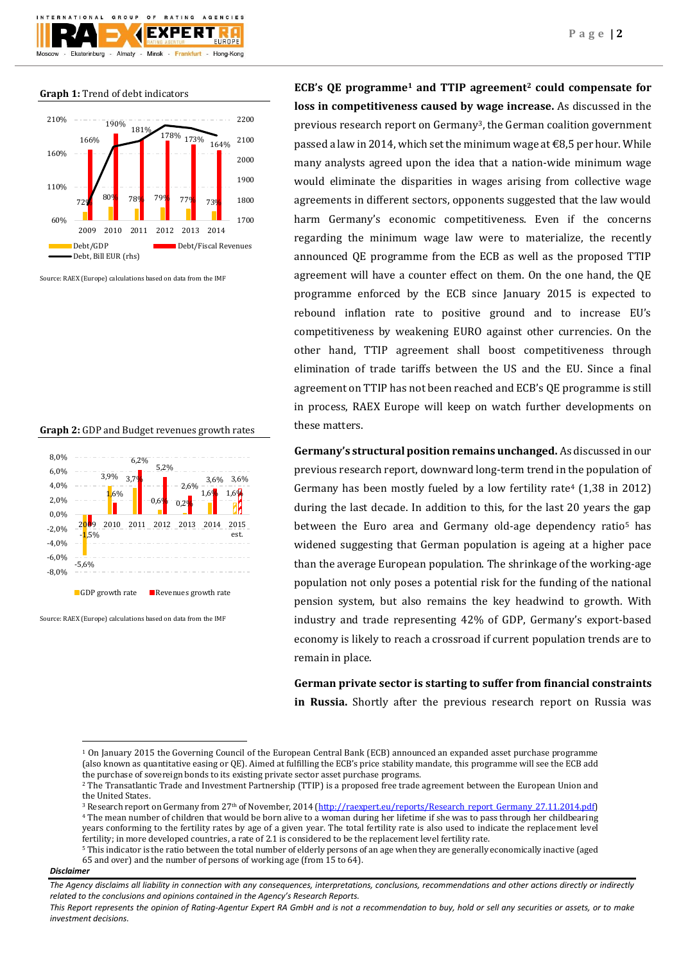#### **Graph 1:** Trend of debt indicators



Source: RAEX (Europe) calculations based on data from the IMF

### **Graph 2:** GDP and Budget revenues growth rates



Source: RAEX (Europe) calculations based on data from the IMF

**ECB's QE programme<sup>1</sup> and TTIP agreement<sup>2</sup> could compensate for loss in competitiveness caused by wage increase.** As discussed in the previous research report on Germany3, the German coalition government passed a law in 2014, which set the minimum wage at  $\epsilon$ 8,5 per hour. While many analysts agreed upon the idea that a nation-wide minimum wage would eliminate the disparities in wages arising from collective wage agreements in different sectors, opponents suggested that the law would harm Germany's economic competitiveness. Even if the concerns regarding the minimum wage law were to materialize, the recently announced QE programme from the ECB as well as the proposed TTIP agreement will have a counter effect on them. On the one hand, the QE programme enforced by the ECB since January 2015 is expected to rebound inflation rate to positive ground and to increase EU's competitiveness by weakening EURO against other currencies. On the other hand, TTIP agreement shall boost competitiveness through elimination of trade tariffs between the US and the EU. Since a final agreement on TTIP has not been reached and ECB's QE programme is still in process, RAEX Europe will keep on watch further developments on these matters.

**Germany's structural position remains unchanged.** As discussed in our previous research report, downward long-term trend in the population of Germany has been mostly fueled by a low fertility rate<sup>4</sup> (1,38 in 2012) during the last decade. In addition to this, for the last 20 years the gap between the Euro area and Germany old-age dependency ratio<sup>5</sup> has widened suggesting that German population is ageing at a higher pace than the average European population. The shrinkage of the working-age population not only poses a potential risk for the funding of the national pension system, but also remains the key headwind to growth. With industry and trade representing 42% of GDP, Germany's export-based economy is likely to reach a crossroad if current population trends are to remain in place.

**German private sector is starting to suffer from financial constraints in Russia.** Shortly after the previous research report on Russia was

#### *Disclaimer*

 $\overline{\phantom{a}}$ 

<sup>1</sup> On January 2015 the Governing Council of the European Central Bank (ECB) announced an expanded asset purchase programme (also known as quantitative easing or QE). Aimed at fulfilling the ECB's price stability mandate, this programme will see the ECB add the purchase of sovereign bonds to its existing private sector asset purchase programs.

<sup>2</sup> The Transatlantic Trade and Investment Partnership (TTIP) is a propose[d free trade agreement](http://en.wikipedia.org/wiki/Free_trade_agreement) between th[e European Union](http://en.wikipedia.org/wiki/European_Union) and th[e United States.](http://en.wikipedia.org/wiki/United_States)

<sup>&</sup>lt;sup>3</sup> Research report on Germany from 27<sup>th</sup> of November, 2014 [\(http://raexpert.eu/reports/Research\\_report\\_Germany\\_27.11.2014.pdf\)](http://raexpert.eu/reports/Research_report_Germany_27.11.2014.pdf) <sup>4</sup> The mean number of children that would be born alive to a woman during her lifetime if she was to pass through her childbearing years conforming to the fertility rates by age of a given year. The total fertility rate is also used to indicate the replacement level fertility; in more developed countries, a rate of 2.1 is considered to be the replacement level fertility rate.

<sup>5</sup> This indicator is the ratio between the total number of elderly persons of an age when they are generally economically inactive (aged 65 and over) and the number of persons of working age (from 15 to 64).

*The Agency disclaims all liability in connection with any consequences, interpretations, conclusions, recommendations and other actions directly or indirectly related to the conclusions and opinions contained in the Agency's Research Reports.*

*This Report represents the opinion of Rating-Agentur Expert RA GmbH and is not a recommendation to buy, hold or sell any securities or assets, or to make investment decisions.*